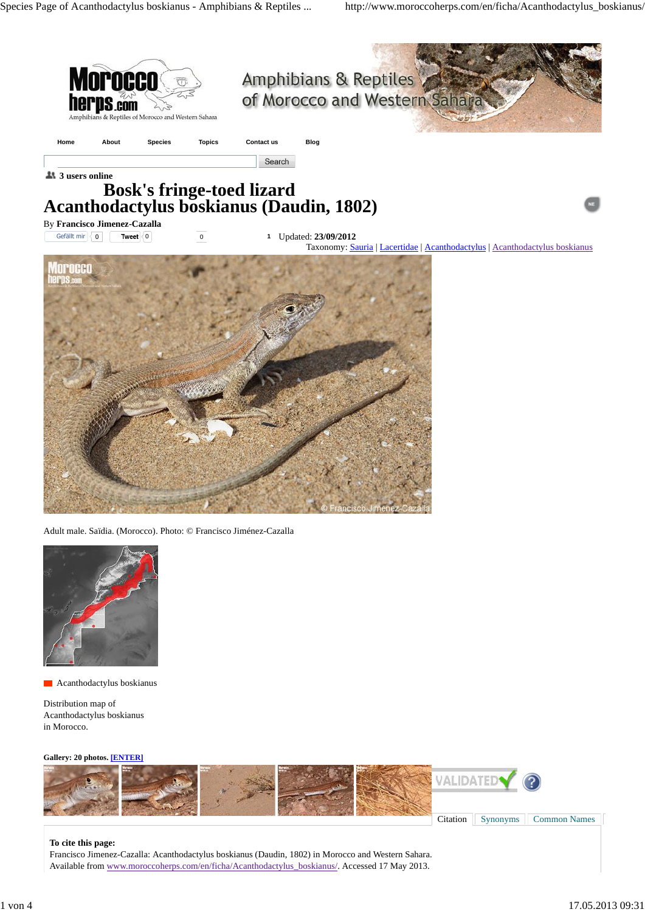





**Acanthodactylus boskianus** 

Distribution map of Acanthodactylus boskianus in Morocco.

#### **Gallery: 20 photos. [ENTER]**



### **To cite this page:**

Francisco Jimenez-Cazalla: Acanthodactylus boskianus (Daudin, 1802) in Morocco and Western Sahara. Available from [www.moroccoherps.com/en/ficha/Acanthodactylus\\_boskianus/.](www.moroccoherps.com/en/ficha/Acanthodactylus_boskianus/) Accessed 17 May 2013.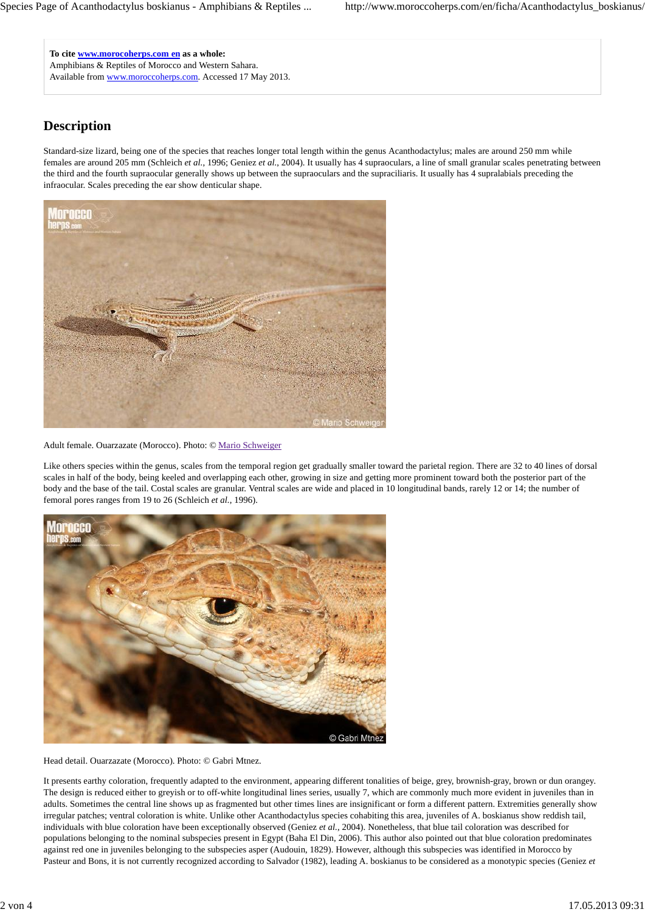**To cite <www.morocoherps.com> en as a whole:** Amphibians & Reptiles of Morocco and Western Sahara. Available from [www.moroccoherps.com.](www.moroccoherps.com) Accessed 17 May 2013.

# **Description**

Standard-size lizard, being one of the species that reaches longer total length within the genus Acanthodactylus; males are around 250 mm while females are around 205 mm (Schleich *et al.*, 1996; Geniez *et al.*, 2004). It usually has 4 supraoculars, a line of small granular scales penetrating between the third and the fourth supraocular generally shows up between the supraoculars and the supraciliaris. It usually has 4 supralabials preceding the infraocular. Scales preceding the ear show denticular shape.



Adult female. Ouarzazate (Morocco). Photo: © Mario Schweiger

Like others species within the genus, scales from the temporal region get gradually smaller toward the parietal region. There are 32 to 40 lines of dorsal scales in half of the body, being keeled and overlapping each other, growing in size and getting more prominent toward both the posterior part of the body and the base of the tail. Costal scales are granular. Ventral scales are wide and placed in 10 longitudinal bands, rarely 12 or 14; the number of femoral pores ranges from 19 to 26 (Schleich *et al.*, 1996).



### Head detail. Ouarzazate (Morocco). Photo: © Gabri Mtnez.

It presents earthy coloration, frequently adapted to the environment, appearing different tonalities of beige, grey, brownish-gray, brown or dun orangey. The design is reduced either to greyish or to off-white longitudinal lines series, usually 7, which are commonly much more evident in juveniles than in adults. Sometimes the central line shows up as fragmented but other times lines are insignificant or form a different pattern. Extremities generally show irregular patches; ventral coloration is white. Unlike other Acanthodactylus species cohabiting this area, juveniles of A. boskianus show reddish tail, individuals with blue coloration have been exceptionally observed (Geniez *et al.*, 2004). Nonetheless, that blue tail coloration was described for populations belonging to the nominal subspecies present in Egypt (Baha El Din, 2006). This author also pointed out that blue coloration predominates against red one in juveniles belonging to the subspecies asper (Audouin, 1829). However, although this subspecies was identified in Morocco by Pasteur and Bons, it is not currently recognized according to Salvador (1982), leading A. boskianus to be considered as a monotypic species (Geniez *et*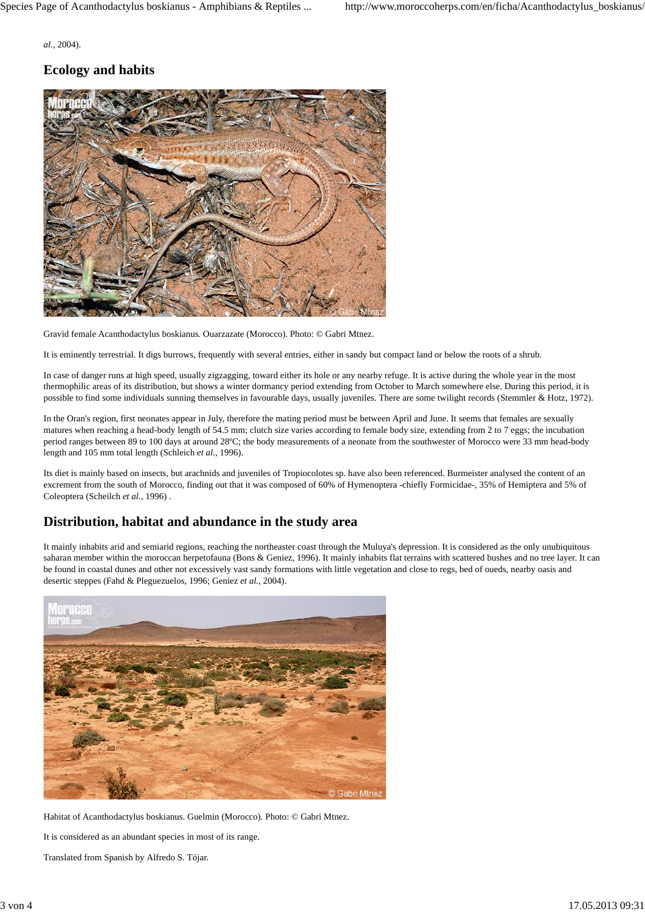*al.*, 2004).

## **Ecology and habits**



Gravid female Acanthodactylus boskianus. Ouarzazate (Morocco). Photo: © Gabri Mtnez.

It is eminently terrestrial. It digs burrows, frequently with several entries, either in sandy but compact land or below the roots of a shrub.

In case of danger runs at high speed, usually zigzagging, toward either its hole or any nearby refuge. It is active during the whole year in the most thermophilic areas of its distribution, but shows a winter dormancy period extending from October to March somewhere else. During this period, it is possible to find some individuals sunning themselves in favourable days, usually juveniles. There are some twilight records (Stemmler & Hotz, 1972).

In the Oran's region, first neonates appear in July, therefore the mating period must be between April and June. It seems that females are sexually matures when reaching a head-body length of 54.5 mm; clutch size varies according to female body size, extending from 2 to 7 eggs; the incubation period ranges between 89 to 100 days at around 28ºC; the body measurements of a neonate from the southwester of Morocco were 33 mm head-body length and 105 mm total length (Schleich *et al.*, 1996).

Its diet is mainly based on insects, but arachnids and juveniles of Tropiocolotes sp. have also been referenced. Burmeister analysed the content of an excrement from the south of Morocco, finding out that it was composed of 60% of Hymenoptera -chiefly Formicidae-, 35% of Hemiptera and 5% of Coleoptera (Scheilch *et al.*, 1996) .

## **Distribution, habitat and abundance in the study area**

It mainly inhabits arid and semiarid regions, reaching the northeaster coast through the Muluya's depression. It is considered as the only unubiquitous saharan member within the moroccan herpetofauna (Bons & Geniez, 1996). It mainly inhabits flat terrains with scattered bushes and no tree layer. It can be found in coastal dunes and other not excessively vast sandy formations with little vegetation and close to regs, bed of oueds, nearby oasis and desertic steppes (Fahd & Pleguezuelos, 1996; Geniez *et al.*, 2004).



Habitat of Acanthodactylus boskianus. Guelmin (Morocco). Photo: © Gabri Mtnez.

It is considered as an abundant species in most of its range.

Translated from Spanish by Alfredo S. Tójar.